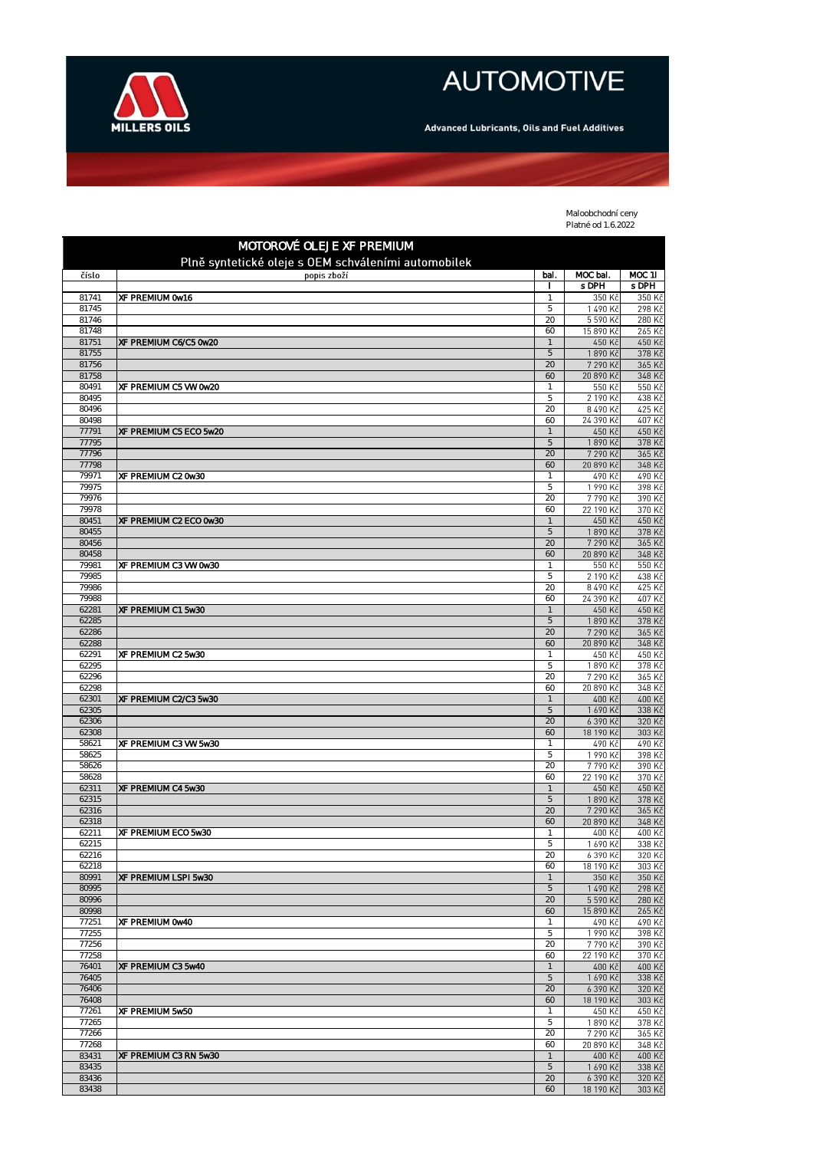

## **AUTOMOTIVE**

Advanced Lubricants, Oils and Fuel Additives

 $\overline{\phantom{a}}$ 

Maloobchodní ceny Platné od 1.6.2022

| MOTOROVÉ OLEJE XF PREMIUM<br>Plně syntetické oleje s OEM schváleními automobilek |                        |                            |                       |                  |
|----------------------------------------------------------------------------------|------------------------|----------------------------|-----------------------|------------------|
| číslo                                                                            | popis zboží            | bal.                       | MOC bal.              | MOC 11           |
| 81741                                                                            | XF PREMIUM 0w16        | 1                          | s DPH<br>350 Kč       | s DPH<br>350 Kč  |
| 81745                                                                            |                        | 5                          | 1490 Kč               | 298 Kč           |
| 81746<br>81748                                                                   |                        | 20<br>60                   | 5 590 Kč<br>15 890 Kč | 280 Kč<br>265 Kč |
| 81751                                                                            | XF PREMIUM C6/C5 0w20  | $\mathbf{1}$               | 450 Kč                | 450 Kč           |
| 81755                                                                            |                        | 5                          | 1890 Kč               | 378 Kč           |
| 81756<br>81758                                                                   |                        | 20<br>60                   | 7 290 Kč<br>20 890 Kč | 365 Kč<br>348 Kč |
| 80491                                                                            | XF PREMIUM C5 VW 0w20  | 1                          | 550 Kč                | 550 Kč           |
| 80495                                                                            |                        | 5                          | 2 190 Kč              | 438 Kč           |
| 80496<br>80498                                                                   |                        | 20<br>60                   | 8490 Kč<br>24 390 Kč  | 425 Kč<br>407 Kč |
| 77791                                                                            | XF PREMIUM C5 ECO 5w20 | $\mathbf{1}$               | 450 Kč                | 450 Kč           |
| 77795<br>77796                                                                   |                        | 5<br>20                    | 1890 Kč<br>7 290 Kč   | 378 Kč<br>365 Kč |
| 77798                                                                            |                        | 60                         | 20 890 Kč             | 348 Kč           |
| 79971                                                                            | XF PREMIUM C2 0w30     | $\mathbf{1}$               | 490 Kč                | 490 Kč           |
| 79975<br>79976                                                                   |                        | 5<br>20                    | 1990 Kč<br>7790 Kč    | 398 Kč<br>390 Kč |
| 79978                                                                            |                        | 60                         | 22 190 Kč             | 370 Kč           |
| 80451<br>80455                                                                   | XF PREMIUM C2 ECO 0w30 | $\mathbf{1}$<br>5          | 450 Kč<br>1890 Kč     | 450 Kč<br>378 Kč |
| 80456                                                                            |                        | 20                         | 7 290 Kč              | 365 Kč           |
| 80458                                                                            |                        | 60                         | 20 890 Kč             | 348 Kč           |
| 79981<br>79985                                                                   | XF PREMIUM C3 VW 0w30  | $\mathbf{1}$<br>5          | 550 Kč<br>2 190 Kč    | 550 Kč<br>438 Kč |
| 79986                                                                            |                        | 20                         | 8 490 Kč              | 425 Kč           |
| 79988                                                                            |                        | 60                         | 24 390 Kč             | 407 Kč           |
| 62281<br>62285                                                                   | XF PREMIUM C1 5w30     | $\mathbf{1}$<br>$\sqrt{5}$ | 450 Kč<br>1890 Kč     | 450 Kč<br>378 Kč |
| 62286                                                                            |                        | 20                         | 7 290 Kč              | 365 Kč           |
| 62288                                                                            |                        | 60                         | 20 890 Kč             | 348 Kč           |
| 62291<br>62295                                                                   | XF PREMIUM C2 5w30     | $\mathbf 1$<br>5           | 450 Kč<br>1890 Kč     | 450 Kč<br>378 Kč |
| 62296                                                                            |                        | 20                         | 7 290 Kč              | 365 Kč           |
| 62298<br>62301                                                                   | XF PREMIUM C2/C3 5w30  | 60<br>$\mathbf{1}$         | 20 890 Kč<br>400 Kč   | 348 Kč<br>400 Kč |
| 62305                                                                            |                        | 5                          | 1 690 Kč              | 338 Kč           |
| 62306                                                                            |                        | 20                         | 6 390 Kč              | 320 Kč           |
| 62308<br>58621                                                                   | XF PREMIUM C3 VW 5w30  | 60<br>$\mathbf 1$          | 18 190 Kč<br>490 Kč   | 303 Kč<br>490 Kč |
| 58625                                                                            |                        | 5                          | 1990 Kč               | 398 Kč           |
| 58626                                                                            |                        | 20                         | 7790 Kč               | 390 Kč           |
| 58628<br>62311                                                                   | XF PREMIUM C4 5w30     | 60<br>$\mathbf{1}$         | 22 190 Kč<br>450 Kč   | 370 Kč<br>450 Kč |
| 62315                                                                            |                        | 5                          | 1890 Kč               | 378 Kč           |
| 62316<br>62318                                                                   |                        | 20<br>60                   | 7 290 Kč<br>20 890 Kč | 365 Kč<br>348 Kč |
| 62211                                                                            | XF PREMIUM ECO 5w30    |                            | 400 Kč                | 400 Kč           |
| 62215                                                                            |                        | 5                          | 1 690 Kč              | 338 Kč           |
| 62216<br>62218                                                                   |                        | 20<br>60                   | 6 390 Kč<br>18 190 Kč | 320 Kč<br>303 Kč |
| 80991                                                                            | XF PREMIUM LSPI 5w30   |                            | 350 Kč                | 350 Kč           |
| 80995<br>80996                                                                   |                        | 5<br>20                    | 1 490 Kč<br>5 590 Kč  | 298 Kč<br>280 Kč |
| 80998                                                                            |                        | 60                         | 15 890 Kč             | 265 Kč           |
| 77251                                                                            | XF PREMIUM 0w40        | $\mathbf{1}$               | 490 Kč                | 490 Kč           |
| 77255<br>77256                                                                   |                        | 5<br>20                    | 1990 Kč<br>7790 Kč    | 398 Kč<br>390 Kč |
| 77258                                                                            |                        | 60                         | 22 190 Kč             | 370 Kč           |
| 76401                                                                            | XF PREMIUM C3 5w40     | $\mathbf{1}$               | 400 Kč                | 400 Kč           |
| 76405<br>76406                                                                   |                        | $\mathbf 5$<br>20          | 1 690 Kč<br>6 390 Kč  | 338 Kč<br>320 Kč |
| 76408                                                                            |                        | 60                         | 18 190 Kč             | 303 Kč           |
| 77261<br>77265                                                                   | XF PREMIUM 5w50        | $\mathbf{1}$<br>5          | 450 Kč<br>1890 Kč     | 450 Kč<br>378 Kč |
| 77266                                                                            |                        | 20                         | 7 290 Kč              | 365 Kč           |
| 77268                                                                            |                        | 60                         | 20 890 Kč             | 348 Kč           |
| 83431<br>83435                                                                   | XF PREMIUM C3 RN 5w30  | 1<br>$\mathbf 5$           | 400 Kč<br>1 690 Kč    | 400 Kč<br>338 Kč |
| 83436                                                                            |                        | 20                         | 6 390 Kč              | 320 Kč           |
| 83438                                                                            |                        | 60                         | 18 190 Kč             | 303 Kč           |

 $\overline{\phantom{a}}$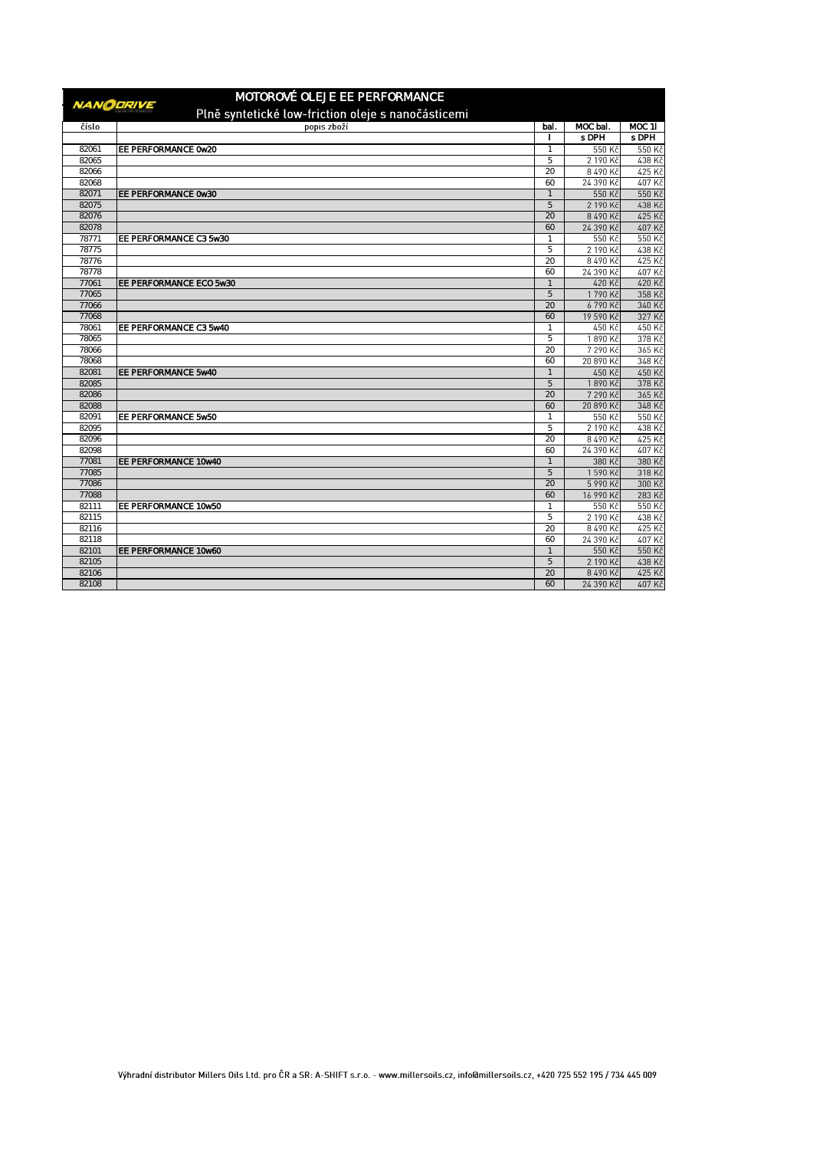| MOTOROVÉ OLEJE EE PERFORMANCE                                          |                         |                     |                   |                  |
|------------------------------------------------------------------------|-------------------------|---------------------|-------------------|------------------|
| <b>NANODRIVE</b><br>Plně syntetické low-friction oleje s nanočásticemi |                         |                     |                   |                  |
| číslo                                                                  | popis zboží             | bal.                | MOC bal.          | $MOC$ 11         |
|                                                                        |                         |                     | s DPH             | s DPH            |
| 82061                                                                  | EE PERFORMANCE 0w20     | 1                   | 550 Kč            | 550 Kč           |
| 82065                                                                  |                         | 5                   | 2 190 Kč          | 438 Kč           |
| 82066                                                                  |                         | 20                  | 8490 Kč           | 425 Kč           |
| 82068                                                                  |                         | 60                  | 24 390 Kč         | 407 Kč           |
| 82071                                                                  | EE PERFORMANCE 0w30     | $\overline{1}$      | 550 Kč            | 550 Kč           |
| 82075                                                                  |                         | 5                   | 2 190 Kč          | 438 Kč           |
| 82076                                                                  |                         | 20                  | 8 490 Kč          | 425 Kč           |
| 82078                                                                  |                         | 60                  | 24 390 Kč         | 407 Kč           |
| 78771                                                                  | EE PERFORMANCE C3 5w30  | $\mathbf{1}$        | 550 Kč            | 550 Kč           |
| 78775                                                                  |                         | 5                   | 2 190 Kč          | 438 Kč           |
| 78776                                                                  |                         | 20                  | 8 490 Kč          | 425 Kč           |
| 78778                                                                  |                         | 60                  | 24 390 Kč         | 407 Kč           |
| 77061                                                                  | EE PERFORMANCE ECO 5w30 | $\mathbf{1}$        | 420 Kč            | 420 Kč           |
| 77065                                                                  |                         | 5                   | 1790 Kč           | 358 Kč           |
| 77066                                                                  |                         | 20                  | 6790 Kč           | 340 Kč           |
| 77068                                                                  |                         | 60                  | 19 590 Kč         | 327 Kč           |
| 78061                                                                  | EE PERFORMANCE C3 5w40  |                     | 450 Kč            | 450 Kč           |
| 78065                                                                  |                         | 5                   | 1890 Kč           | 378 Kč           |
| 78066                                                                  |                         | 20                  | 7 290 Kč          | 365 Kč           |
| 78068                                                                  |                         | 60                  | 20 890 Kč         | 348 Kč           |
| 82081<br>82085                                                         | EE PERFORMANCE 5w40     | $\overline{1}$<br>5 | 450 Kč<br>1890 Kč | 450 Kč<br>378 Kč |
| 82086                                                                  |                         | 20                  | 7 290 Kč          | 365 Kč           |
| 82088                                                                  |                         | 60                  | 20 890 Kč         | 348 Kč           |
| 82091                                                                  | EE PERFORMANCE 5w50     | $\mathbf{1}$        | 550 Kč            | 550 Kč           |
| 82095                                                                  |                         | 5                   | 2 190 Kč          | 438 Kč           |
| 82096                                                                  |                         | 20                  | 8 490 Kč          | 425 Kč           |
| 82098                                                                  |                         | 60                  | 24 390 Kč         | 407 Kč           |
| 77081                                                                  | EE PERFORMANCE 10w40    |                     | 380 Kč            | 380 Kč           |
| 77085                                                                  |                         | 5                   | 1590 Kč           | 318 Kč           |
| 77086                                                                  |                         | 20                  | 5 990 Kč          | 300 Kč           |
| 77088                                                                  |                         | 60                  | 16 990 Kč         | 283 Kč           |
| 82111                                                                  | EE PERFORMANCE 10w50    | 1                   | 550 Kč            | 550 Kč           |
| 82115                                                                  |                         | 5                   | 2 190 Kč          | 438 Kč           |
| 82116                                                                  |                         | 20                  | 8490 Kč           | 425 Kč           |
| 82118                                                                  |                         | 60                  | 24 390 Kč         | 407 Kč           |
| 82101                                                                  | EE PERFORMANCE 10w60    | $\mathbf{1}$        | 550 Kč            | 550 Kč           |
| 82105                                                                  |                         | 5                   | 2 190 Kč          | 438 Kč           |
| 82106                                                                  |                         | 20                  | 8 490 Kč          | 425 Kč           |
| 82108                                                                  |                         | 60                  | 24 390 Kč         | 407 Kč           |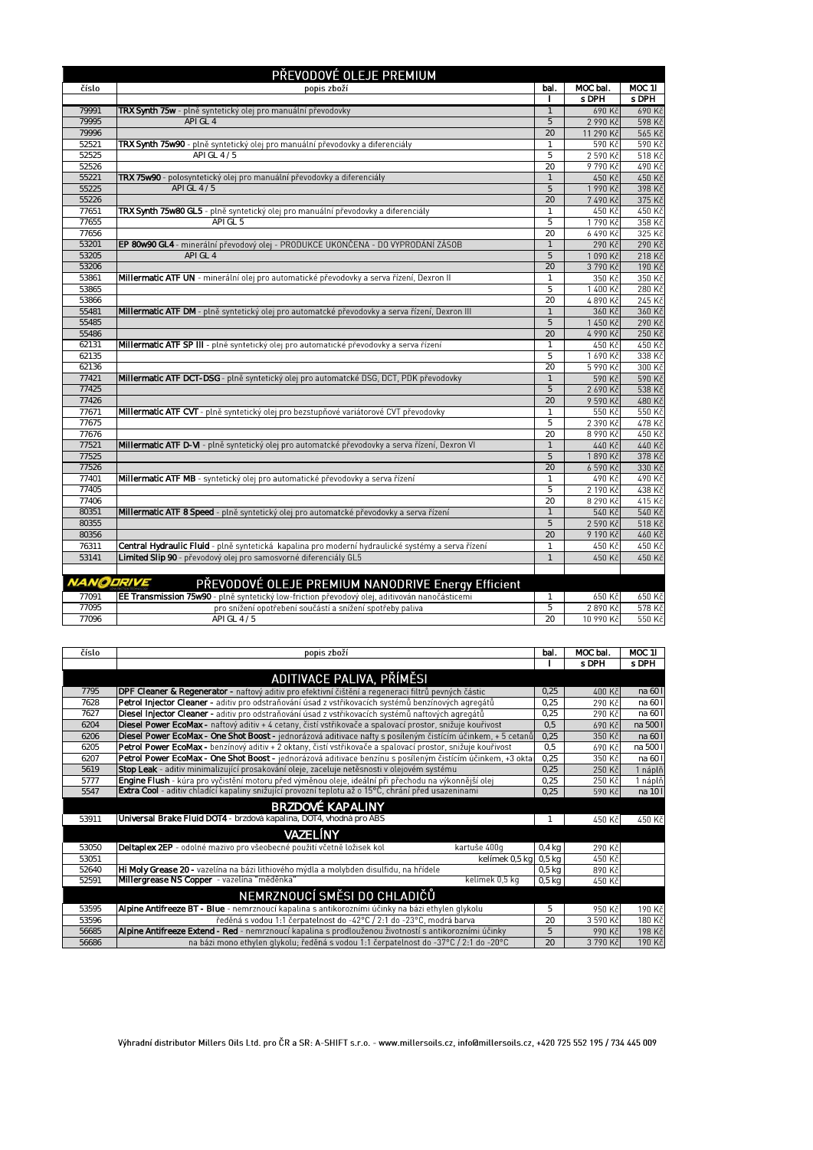| PŘEVODOVÉ OLEJE PREMIUM |                                                                                                   |              |           |          |
|-------------------------|---------------------------------------------------------------------------------------------------|--------------|-----------|----------|
| číslo                   | popis zboží                                                                                       | bal.         | MOC bal.  | MOC 11   |
|                         |                                                                                                   | $\mathbf{I}$ | s DPH     | s DPH    |
| 79991                   | <b>TRX Synth 75w</b> - plně syntetický olej pro manuální převodovky                               | $\mathbf{1}$ | 690 Kč    | 690 Kč   |
| 79995                   | API GL 4                                                                                          | 5            | 2 990 Kč  | 598 Kč   |
| 79996                   |                                                                                                   | 20           | 11 290 Kč | 565 Kč   |
| 52521                   | TRX Synth 75w90 - plně syntetický olej pro manuální převodovky a diferenciály                     | $\mathbf{1}$ | 590 Kč    | 590 Kč   |
| 52525                   | API GL 4 / 5                                                                                      | 5            | 2 590 Kč  | 518 Kč   |
| 52526                   |                                                                                                   | 20           | 9790 Kč   | $490$ Kč |
| 55221                   | <b>TRX 75w90</b> - polosyntetický olej pro manuální převodovky a diferenciály                     | $\mathbf{1}$ | 450 Kč    | 450 Kč   |
| 55225                   | API GL 4/5                                                                                        | 5            | 1990 Kč   | 398 Kč   |
| 55226                   |                                                                                                   | 20           | 7490 Kč   | 375 Kč   |
| 77651                   | TRX Synth 75w80 GL5 - plně syntetický olej pro manuální převodovky a diferenciály                 | $\mathbf{1}$ | 450 Kč    | 450 Kč   |
| 77655                   | API GL 5                                                                                          | 5            | 1790 Kč   | 358 Kč   |
| 77656                   |                                                                                                   | 20           | 6 490 Kč  | 325 Kč   |
| 53201                   | EP 80w90 GL4 - minerální převodový olej - PRODUKCE UKONČENA - DO VYPRODÁNÍ ZÁSOB                  | $\mathbf{1}$ | 290 Kč    | 290 Kč   |
| 53205                   | API GL 4                                                                                          | 5            | 1090 Kč   | 218 Kč   |
| 53206                   |                                                                                                   | 20           | 3790 Kč   | 190 Kč   |
| 53861                   | Millermatic ATF UN - minerální olej pro automatické převodovky a serva řízení, Dexron II          | $\mathbf{1}$ | 350 Kč    | 350 Kč   |
| 53865                   |                                                                                                   | 5            | 1 400 Kč  | 280 Kč   |
| 53866                   |                                                                                                   | 20           | 4890 Kč   | 245 Kč   |
| 55481                   | Millermatic ATF DM - plně syntetický olej pro automatcké převodovky a serva řízení, Dexron III    | $\mathbf{1}$ | 360 Kč    | 360 Kč   |
| 55485                   |                                                                                                   | 5            | 1450 Kč   | 290 Kč   |
| 55486                   |                                                                                                   | 20           | 4 990 Kč  | 250 Kč   |
| 62131                   | Millermatic ATF SP III - plně syntetický olej pro automatické převodovky a serva řízení           | $\mathbf{1}$ | 450 Kč    | 450 Kč   |
| 62135                   |                                                                                                   | 5            | 1690 Kč   | 338 Kč   |
| 62136                   |                                                                                                   | 20           | 5 990 Kč  | 300 Kč   |
| 77421                   | Millermatic ATF DCT-DSG - plně syntetický olej pro automatcké DSG, DCT, PDK převodovky            | $\mathbf{1}$ | 590 Kč    | 590 Kč   |
| 77425                   |                                                                                                   | 5            | 2 690 Kč  | 538 Kč   |
| 77426                   |                                                                                                   | 20           | 9590 Kč   | 480 Kč   |
| 77671                   | Millermatic ATF CVT - plně syntetický olej pro bezstupňové variátorové CVT převodovky             | $\mathbf{1}$ | 550 Kč    | 550 Kč   |
| 77675                   |                                                                                                   | 5            | 2 390 Kč  | 478 Kč   |
| 77676                   |                                                                                                   | 20           | 8 990 Kč  | 450 Kč   |
| 77521                   | Millermatic ATF D-VI - plně syntetický olej pro automatcké převodovky a serva řízení, Dexron VI   | $\mathbf{1}$ | 440 Kč    | 440 Kč   |
| 77525                   |                                                                                                   | 5            | 1890 Kč   | 378 Kč   |
| 77526                   |                                                                                                   | 20           | 6 590 Kč  | 330 Kč   |
| 77401                   | Millermatic ATF MB - syntetický olej pro automatické převodovky a serva řízení                    | $\mathbf{1}$ | 490 Kč    | 490 Kč   |
| 77405                   |                                                                                                   | 5            | 2 190 Kč  | 438 Kč   |
| 77406                   |                                                                                                   | 20           | 8 290 Kč  | 415 Kč   |
| 80351                   | Millermatic ATF 8 Speed - plně syntetický olej pro automatcké převodovky a serva řízení           | $\mathbf{1}$ | 540 Kč    | 540 Kč   |
| 80355                   |                                                                                                   | 5            | 2 590 Kč  | 518 Kč   |
| 80356                   |                                                                                                   | 20           | 9 190 Kč  | 460 Kč   |
| 76311                   | Central Hydraulic Fluid - plně syntetická kapalina pro moderní hydraulické systémy a serva řízení | $\mathbf{1}$ | 450 Kč    | 450 Kč   |
| 53141                   | Limited Slip 90 - převodový olej pro samosvorné diferenciály GL5                                  | $\mathbf{1}$ | 450 Kč    | 450 Kč   |
|                         |                                                                                                   |              |           |          |
| <b>NANODRIVE</b>        | PŘEVODOVÉ OLEJE PREMIUM NANODRIVE Energy Efficient                                                |              |           |          |
|                         |                                                                                                   |              |           |          |
| 77091                   | EE Transmission 75w90 - plně syntetický low-friction převodový olej, aditivován nanočásticemi     | 1            | 650 Kč    | 650 Kč   |
| 77095                   | pro snížení opotřebení součástí a snížení spotřeby paliva                                         | 5            | 2890 Kč   | 578 Kč   |
| 77096                   | API GL 4 / 5                                                                                      | 20           | 10 990 Kč | 550 Kč   |

|                                                                                                                   |                                                                                                             |                   |          | <b>MOC 11</b> |
|-------------------------------------------------------------------------------------------------------------------|-------------------------------------------------------------------------------------------------------------|-------------------|----------|---------------|
|                                                                                                                   |                                                                                                             |                   | s DPH    | s DPH         |
|                                                                                                                   | ADITIVACE PALIVA, PŘÍMĚSI                                                                                   |                   |          |               |
| DPF Cleaner & Regenerator - naftový aditiv pro efektivní čištění a regeneraci filtrů pevných částic<br>7795       |                                                                                                             | 0.25              | 400 Kč   | na 60 l       |
| Petrol Injector Cleaner - aditiv pro odstraňování úsad z vstřikovacích systémů benzínových agregátů<br>7628       |                                                                                                             | 0,25              | 290 Kč   | na 60 l       |
| Diesel Injector Cleaner - aditiv pro odstraňování úsad z vstřikovacích systémů naftových agregátů<br>7627         |                                                                                                             | 0.25              | 290 Kč   | na 60 l       |
| Diesel Power EcoMax - naftový aditiv + 4 cetany, čistí vstřikovače a spalovací prostor, snižuje kouřivost<br>6204 |                                                                                                             | 0.5               | 690 Kč   | na 500 l      |
| 6206                                                                                                              | Diesel Power EcoMax - One Shot Boost - jednorázová aditivace nafty s posíleným čistícím účinkem, + 5 cetanů | 0,25              | 350 Kč   | na 60 l       |
| 6205                                                                                                              | Petrol Power EcoMax - benzínový aditiv + 2 oktany, čistí vstřikovače a spalovací prostor, snižuje kouřivost | 0.5               | 690 Kč   | na 500 l      |
| 6207                                                                                                              | Petrol Power EcoMax - One Shot Boost - jednorázová aditivace benzínu s posíleným čistícím účinkem, +3 oktar | 0.25              | 350 Kč   | na 60 l       |
| Stop Leak - aditiv minimalizující prosakování oleje, zaceluje netěsnosti v olejovém systému<br>5619               |                                                                                                             | 0.25              | 250 Kč   | 1 náplň       |
| Engine Flush - kúra pro vyčistění motoru před výměnou oleje, ideální při přechodu na výkonnější olej<br>5777      |                                                                                                             | 0,25              | 250 Kč   | 1 náplň       |
| Extra Cool - aditiv chladící kapaliny snižující provozní teplotu až o 15°C, chrání před usazeninami<br>5547       |                                                                                                             | 0.25              | 590 Kč   | na 10 l       |
|                                                                                                                   | <b>BRZDOVÉ KAPALINY</b>                                                                                     |                   |          |               |
| <b>Universal Brake Fluid DOT4</b> - brzdová kapalina, DOT4, vhodná pro ABS<br>53911                               |                                                                                                             |                   | 450 Kč   | 450 Kč        |
| VAZELÍNY                                                                                                          |                                                                                                             |                   |          |               |
| Deltaplex 2EP - odolné mazivo pro všeobecné použití včetně ložisek kol<br>53050                                   | kartuše 400g                                                                                                | $0.4$ kg          | 290 Kč   |               |
| 53051                                                                                                             | kelímek 0,5 kg                                                                                              | 0.5 <sub>kq</sub> | 450 Kč   |               |
| HI Moly Grease 20 - vazelína na bázi lithiového mýdla a molybden disulfidu, na hřídele<br>52640                   |                                                                                                             | 0.5 <sub>kq</sub> | 890 Kč   |               |
| Millergrease NS Copper - vazelína "měděnka"<br>52591                                                              | kelímek 0.5 ka                                                                                              | 0.5 <sub>kq</sub> | 450 Kč   |               |
|                                                                                                                   | NEMRZNOUCÍ SMĚSI DO CHLADIČŮ                                                                                |                   |          |               |
| Alpine Antifreeze BT - Blue - nemrznoucí kapalina s antikorozními účinky na bázi ethylen glykolu<br>53595         |                                                                                                             | 5                 | 950 Kč   | 190 Kč        |
| 53596                                                                                                             | ředěná s vodou 1:1 čerpatelnost do -42°C / 2:1 do -23°C, modrá barva                                        | 20                | 3 590 Kč | 180 Kč        |
| Alpine Antifreeze Extend - Red - nemrznoucí kapalina s prodlouženou životností s antikorozními účinky<br>56685    |                                                                                                             | 5                 | 990 Kč   | 198 Kč        |
| 56686                                                                                                             | na bázi mono ethylen glykolu; ředěná s vodou 1:1 čerpatelnost do -37°C / 2:1 do -20°C                       | 20                | 3790 Kč  | 190 Kč        |